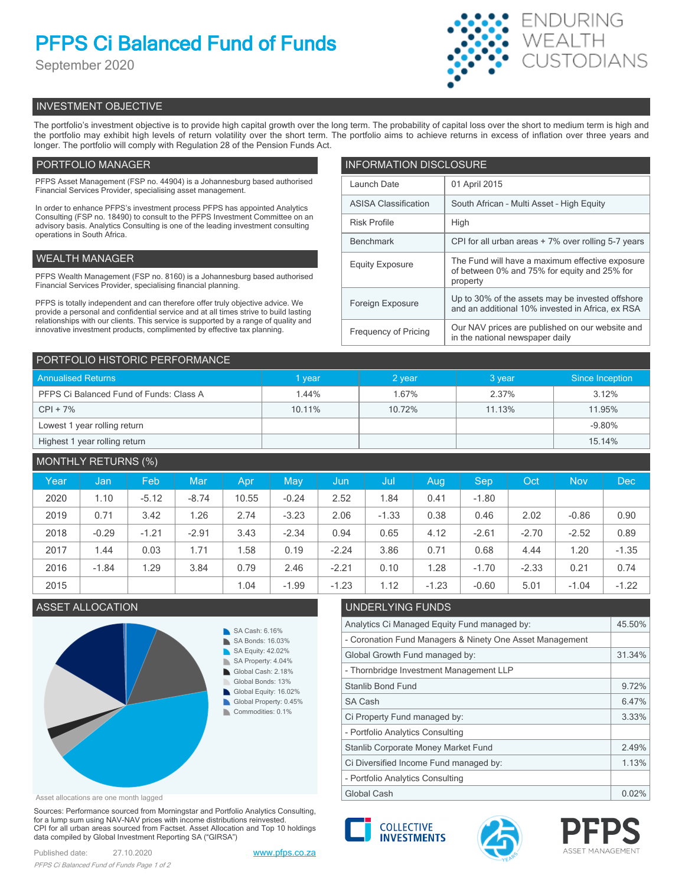# **PFPS Ci Balanced Fund of Funds**

September 2020



# INVESTMENT OBJECTIVE

The portfolio's investment objective is to provide high capital growth over the long term. The probability of capital loss over the short to medium term is high and the portfolio may exhibit high levels of return volatility over the short term. The portfolio aims to achieve returns in excess of inflation over three years and longer. The portfolio will comply with Regulation 28 of the Pension Funds Act.

# PORTFOLIO MANAGER

PFPS Asset Management (FSP no. 44904) is a Johannesburg based authorised Financial Services Provider, specialising asset management.

In order to enhance PFPS's investment process PFPS has appointed Analytics Consulting (FSP no. 18490) to consult to the PFPS Investment Committee on an advisory basis. Analytics Consulting is one of the leading investment consulting operations in South Africa.

# WEALTH MANAGER

PFPS Wealth Management (FSP no. 8160) is a Johannesburg based authorised Financial Services Provider, specialising financial planning.

PFPS is totally independent and can therefore offer truly objective advice. We provide a personal and confidential service and at all times strive to build lasting relationships with our clients. This service is supported by a range of quality and innovative investment products, complimented by effective tax planning.

| <b>INFORMATION DISCLOSURE</b> |                                                                                                             |  |  |  |
|-------------------------------|-------------------------------------------------------------------------------------------------------------|--|--|--|
| Launch Date                   | 01 April 2015                                                                                               |  |  |  |
| <b>ASISA Classification</b>   | South African - Multi Asset - High Equity                                                                   |  |  |  |
| <b>Risk Profile</b>           | High                                                                                                        |  |  |  |
| <b>Benchmark</b>              | CPI for all urban areas + 7% over rolling 5-7 years                                                         |  |  |  |
| <b>Equity Exposure</b>        | The Fund will have a maximum effective exposure<br>of between 0% and 75% for equity and 25% for<br>property |  |  |  |
| Foreign Exposure              | Up to 30% of the assets may be invested offshore<br>and an additional 10% invested in Africa, ex RSA        |  |  |  |
| <b>Frequency of Pricing</b>   | Our NAV prices are published on our website and<br>in the national newspaper daily                          |  |  |  |

| PORTFOLIO HISTORIC PERFORMANCE          |        |        |        |                 |  |  |
|-----------------------------------------|--------|--------|--------|-----------------|--|--|
| <b>Annualised Returns</b>               | vear   | 2 year | 3 year | Since Inception |  |  |
| PFPS Ci Balanced Fund of Funds: Class A | 1.44%  | 1.67%  | 2.37%  | 3.12%           |  |  |
| $CPI + 7%$                              | 10.11% | 10.72% | 11.13% | 11.95%          |  |  |
| Lowest 1 year rolling return            |        |        |        | $-9.80%$        |  |  |
| Highest 1 year rolling return           |        |        |        | 15.14%          |  |  |

| <b>MONTHLY RETURNS (%)</b> |         |         |         |       |         |         |         |         |         |         |            |            |
|----------------------------|---------|---------|---------|-------|---------|---------|---------|---------|---------|---------|------------|------------|
| Year                       | Jan     | Feb     | Mar     | Apr   | May     | Jun     | Jul     | Aug     | Sep     | Oct     | <b>Nov</b> | <b>Dec</b> |
| 2020                       | 1.10    | $-5.12$ | $-8.74$ | 10.55 | $-0.24$ | 2.52    | 1.84    | 0.41    | $-1.80$ |         |            |            |
| 2019                       | 0.71    | 3.42    | 1.26    | 2.74  | $-3.23$ | 2.06    | $-1.33$ | 0.38    | 0.46    | 2.02    | $-0.86$    | 0.90       |
| 2018                       | $-0.29$ | $-1.21$ | $-2.91$ | 3.43  | $-2.34$ | 0.94    | 0.65    | 4.12    | $-2.61$ | $-2.70$ | $-2.52$    | 0.89       |
| 2017                       | 1.44    | 0.03    | 1.71    | 1.58  | 0.19    | $-2.24$ | 3.86    | 0.71    | 0.68    | 4.44    | 1.20       | $-1.35$    |
| 2016                       | $-1.84$ | 1.29    | 3.84    | 0.79  | 2.46    | $-2.21$ | 0.10    | 1.28    | $-1.70$ | $-2.33$ | 0.21       | 0.74       |
| 2015                       |         |         |         | 1.04  | $-1.99$ | $-1.23$ | 1.12    | $-1.23$ | $-0.60$ | 5.01    | $-1.04$    | $-1.22$    |



Asset allocations are one month lagged

Sources: Performance sourced from Morningstar and Portfolio Analytics Consulting, for a lump sum using NAV-NAV prices with income distributions reinvested. CPI for all urban areas sourced from Factset. Asset Allocation and Top 10 holdings data compiled by Global Investment Reporting SA ("GIRSA")

# ASSET ALLOCATION UNDERLYING FUNDS

| Analytics Ci Managed Equity Fund managed by:             |       |  |
|----------------------------------------------------------|-------|--|
| - Coronation Fund Managers & Ninety One Asset Management |       |  |
| Global Growth Fund managed by:                           |       |  |
| - Thornbridge Investment Management LLP                  |       |  |
| <b>Stanlib Bond Fund</b>                                 | 9.72% |  |
| SA Cash                                                  | 6.47% |  |
| Ci Property Fund managed by:                             | 3.33% |  |
| - Portfolio Analytics Consulting                         |       |  |
| Stanlib Corporate Money Market Fund                      |       |  |
| Ci Diversified Income Fund managed by:                   |       |  |
| - Portfolio Analytics Consulting                         |       |  |
| Global Cash                                              |       |  |